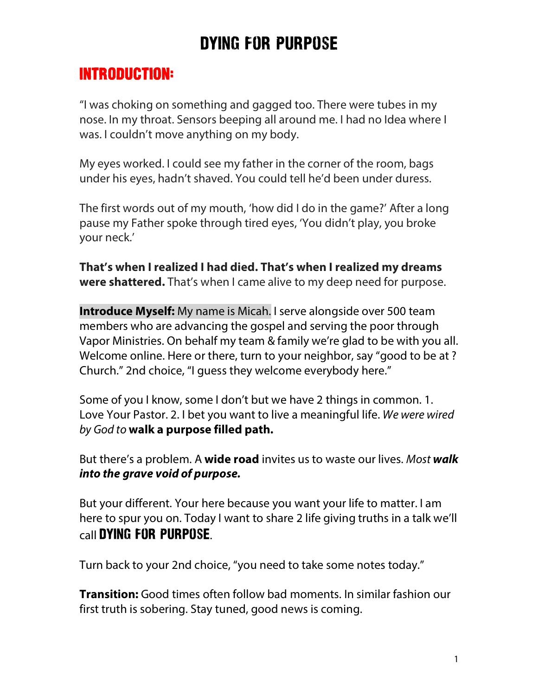### Introduction:

"I was choking on something and gagged too. There were tubes in my nose. In my throat. Sensors beeping all around me. I had no Idea where I was. I couldn't move anything on my body.

My eyes worked. I could see my father in the corner of the room, bags under his eyes, hadn't shaved. You could tell he'd been under duress.

The first words out of my mouth, 'how did I do in the game?' After a long pause my Father spoke through tired eyes, 'You didn't play, you broke your neck.'

**That's when I realized I had died. That's when I realized my dreams were shattered.** That's when I came alive to my deep need for purpose.

**Introduce Myself:** My name is Micah. I serve alongside over 500 team members who are advancing the gospel and serving the poor through Vapor Ministries. On behalf my team & family we're glad to be with you all. Welcome online. Here or there, turn to your neighbor, say "good to be at ? Church." 2nd choice, "I guess they welcome everybody here."

Some of you I know, some I don't but we have 2 things in common. 1. Love Your Pastor. 2. I bet you want to live a meaningful life. *We were wired by God to* **walk a purpose filled path.**

But there's a problem. A **wide road** invites us to waste our lives. *Most walk into the grave void of purpose.*

But your different. Your here because you want your life to matter. I am here to spur you on. Today I want to share 2 life giving truths in a talk we'll call Dying For Purpose.

Turn back to your 2nd choice, "you need to take some notes today."

**Transition:** Good times often follow bad moments. In similar fashion our first truth is sobering. Stay tuned, good news is coming.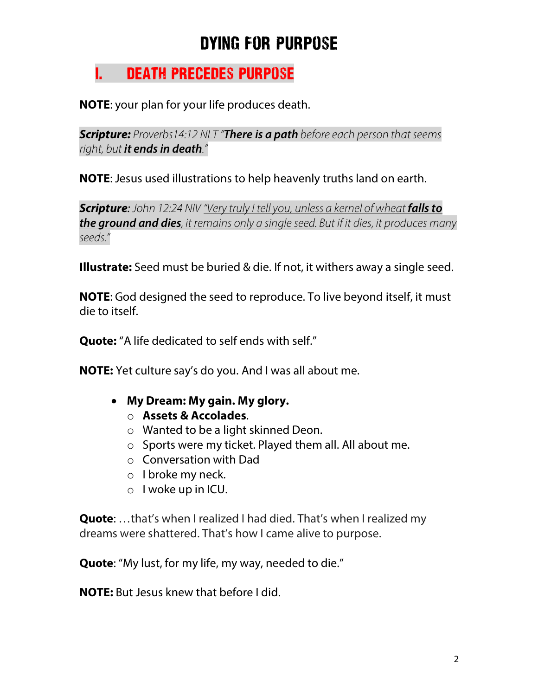### I. Death Precedes purpose

**NOTE**: your plan for your life produces death.

*Scripture: Proverbs14:12 NLT "There is a path before each person that seems right, but it ends in death."* 

**NOTE**: Jesus used illustrations to help heavenly truths land on earth.

**Scripture:** *John 12:24 NIV "Very truly I tell you, unless a kernel of wheat falls to the ground and dies, it remains only a single seed. But if it dies, it produces many seeds."* 

**Illustrate:** Seed must be buried & die. If not, it withers away a single seed.

**NOTE**: God designed the seed to reproduce. To live beyond itself, it must die to itself.

**Quote:** "A life dedicated to self ends with self."

**NOTE:** Yet culture say's do you. And I was all about me.

#### • **My Dream: My gain. My glory.** o **Assets & Accolades**.

- o Wanted to be a light skinned Deon.
- o Sports were my ticket. Played them all. All about me.
- o Conversation with Dad
- o I broke my neck.
- o I woke up in ICU.

**Quote**: …that's when I realized I had died. That's when I realized my dreams were shattered. That's how I came alive to purpose.

**Quote**: "My lust, for my life, my way, needed to die."

**NOTE:** But Jesus knew that before I did.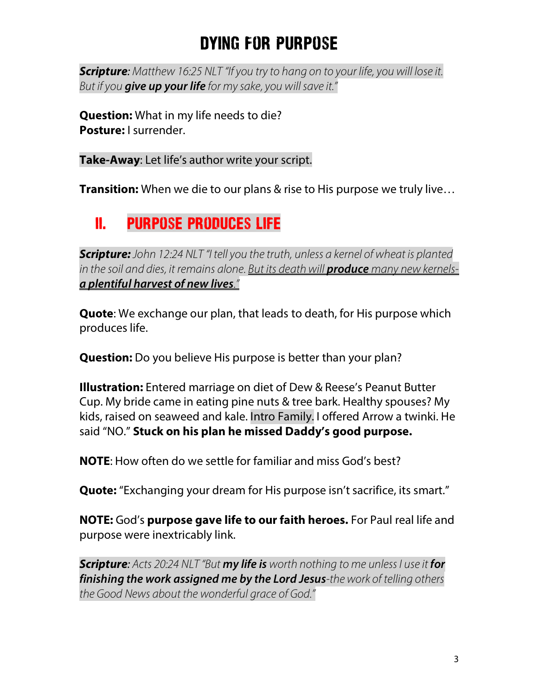*Scripture: Matthew 16:25 NLT "If you try to hang on to your life, you will lose it. But if you give up your life for my sake, you will save it."* 

**Question:** What in my life needs to die? **Posture:** I surrender.

**Take-Away**: Let life's author write your script.

**Transition:** When we die to our plans & rise to His purpose we truly live…

## ii. purpose produces life

*Scripture: John 12:24 NLT "I tell you the truth, unless a kernel of wheat is planted*  in the soil and dies, it remains alone. But its death will **produce** many new kernels*a plentiful harvest of new lives."*

**Quote**: We exchange our plan, that leads to death, for His purpose which produces life.

**Question:** Do you believe His purpose is better than your plan?

**Illustration:** Entered marriage on diet of Dew & Reese's Peanut Butter Cup. My bride came in eating pine nuts & tree bark. Healthy spouses? My kids, raised on seaweed and kale. Intro Family. I offered Arrow a twinki. He said "NO." **Stuck on his plan he missed Daddy's good purpose.**

**NOTE**: How often do we settle for familiar and miss God's best?

**Quote:** "Exchanging your dream for His purpose isn't sacrifice, its smart."

**NOTE:** God's **purpose gave life to our faith heroes.** For Paul real life and purpose were inextricably link.

*Scripture: Acts 20:24 NLT "But my life is worth nothing to me unless I use it for finishing the work assigned me by the Lord Jesus-the work of telling others the Good News about the wonderful grace of God."*